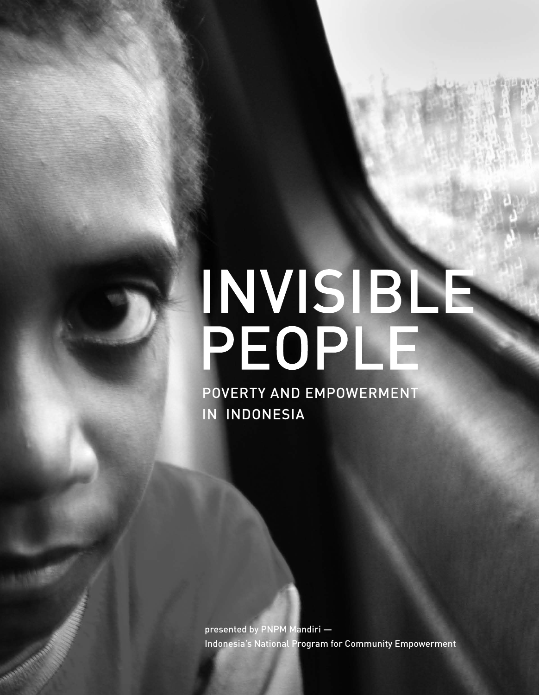# INVISIBLE<br>PEOPLE

POVERTY AND EMPOWERMENT IN INDONESIA

presented by PNPM Mandiri — Indonesia's National Program for Community Empowerment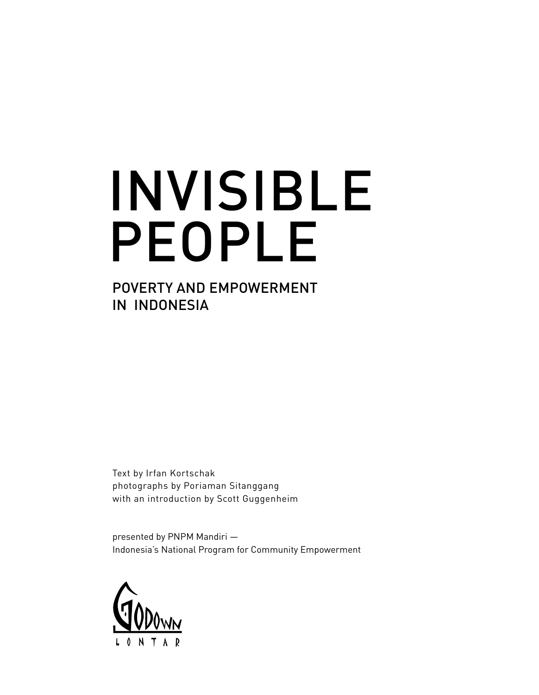# INVISIBLE PEOPLE

# POVERTY AND EMPOWERMENT IN INDONESIA

Text by Irfan Kortschak photographs by Poriaman Sitanggang with an introduction by Scott Guggenheim

presented by PNPM Mandiri — Indonesia's National Program for Community Empowerment

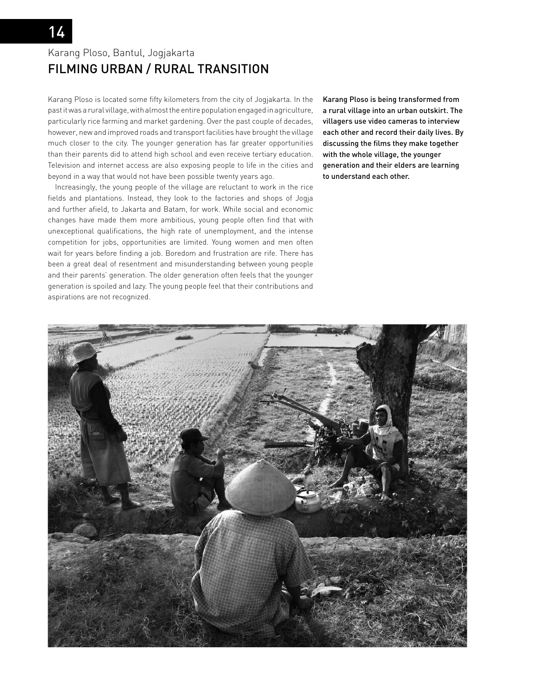## Karang Ploso, Bantul, Jogjakarta FILMING URBAN / RURAL TRANSITION

Karang Ploso is located some fifty kilometers from the city of Jogjakarta. In the past it was a rural village, with almost the entire population engaged in agriculture, particularly rice farming and market gardening. Over the past couple of decades, however, new and improved roads and transport facilities have brought the village much closer to the city. The younger generation has far greater opportunities than their parents did to attend high school and even receive tertiary education. Television and internet access are also exposing people to life in the cities and beyond in a way that would not have been possible twenty years ago.

Increasingly, the young people of the village are reluctant to work in the rice fields and plantations. Instead, they look to the factories and shops of Jogja and further afield, to Jakarta and Batam, for work. While social and economic changes have made them more ambitious, young people often find that with unexceptional qualifications, the high rate of unemployment, and the intense competition for jobs, opportunities are limited. Young women and men often wait for years before finding a job. Boredom and frustration are rife. There has been a great deal of resentment and misunderstanding between young people and their parents' generation. The older generation often feels that the younger generation is spoiled and lazy. The young people feel that their contributions and aspirations are not recognized.

Karang Ploso is being transformed from a rural village into an urban outskirt. The villagers use video cameras to interview each other and record their daily lives. By discussing the films they make together with the whole village, the younger generation and their elders are learning to understand each other.

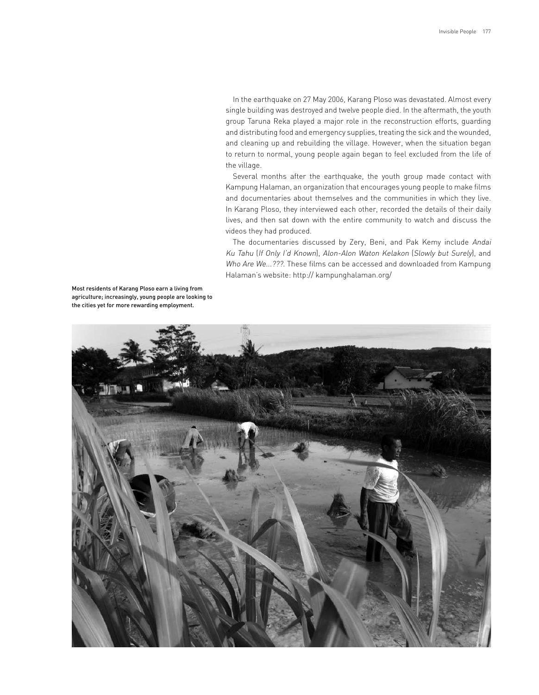In the earthquake on 27 May 2006, Karang Ploso was devastated. Almost every single building was destroyed and twelve people died. In the aftermath, the youth group Taruna Reka played a major role in the reconstruction efforts, guarding and distributing food and emergency supplies, treating the sick and the wounded, and cleaning up and rebuilding the village. However, when the situation began to return to normal, young people again began to feel excluded from the life of the village.

Several months after the earthquake, the youth group made contact with Kampung Halaman, an organization that encourages young people to make films and documentaries about themselves and the communities in which they live. In Karang Ploso, they interviewed each other, recorded the details of their daily lives, and then sat down with the entire community to watch and discuss the videos they had produced.

The documentaries discussed by Zery, Beni, and Pak Kemy include Andai Ku Tahu (If Only I'd Known), Alon-Alon Waton Kelakon (Slowly but Surely), and Who Are We...???. These films can be accessed and downloaded from Kampung Halaman's website: http:// kampunghalaman.org/



Most residents of Karang Ploso earn a living from agriculture; increasingly, young people are looking to the cities yet for more rewarding employment.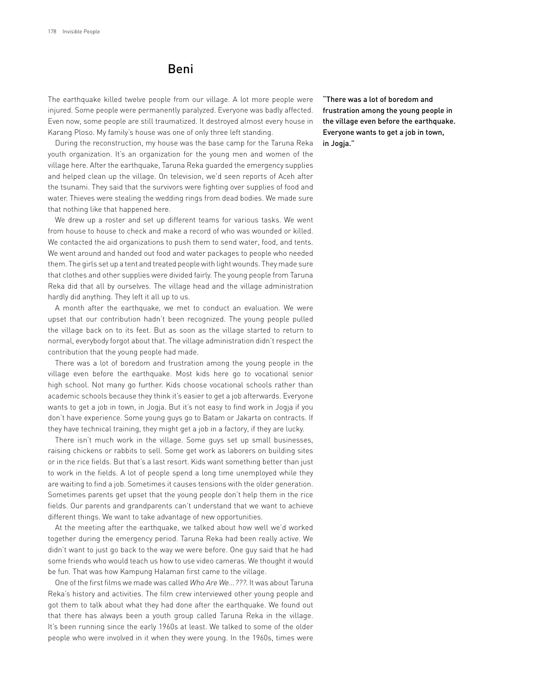### Beni

The earthquake killed twelve people from our village. A lot more people were injured. Some people were permanently paralyzed. Everyone was badly affected. Even now, some people are still traumatized. It destroyed almost every house in Karang Ploso. My family's house was one of only three left standing.

During the reconstruction, my house was the base camp for the Taruna Reka youth organization. It's an organization for the young men and women of the village here. After the earthquake, Taruna Reka guarded the emergency supplies and helped clean up the village. On television, we'd seen reports of Aceh after the tsunami. They said that the survivors were fighting over supplies of food and water. Thieves were stealing the wedding rings from dead bodies. We made sure that nothing like that happened here.

We drew up a roster and set up different teams for various tasks. We went from house to house to check and make a record of who was wounded or killed. We contacted the aid organizations to push them to send water, food, and tents. We went around and handed out food and water packages to people who needed them. The girls set up a tent and treated people with light wounds. They made sure that clothes and other supplies were divided fairly. The young people from Taruna Reka did that all by ourselves. The village head and the village administration hardly did anything. They left it all up to us.

A month after the earthquake, we met to conduct an evaluation. We were upset that our contribution hadn't been recognized. The young people pulled the village back on to its feet. But as soon as the village started to return to normal, everybody forgot about that. The village administration didn't respect the contribution that the young people had made.

There was a lot of boredom and frustration among the young people in the village even before the earthquake. Most kids here go to vocational senior high school. Not many go further. Kids choose vocational schools rather than academic schools because they think it's easier to get a job afterwards. Everyone wants to get a job in town, in Jogja. But it's not easy to find work in Jogja if you don't have experience. Some young guys go to Batam or Jakarta on contracts. If they have technical training, they might get a job in a factory, if they are lucky.

There isn't much work in the village. Some guys set up small businesses, raising chickens or rabbits to sell. Some get work as laborers on building sites or in the rice fields. But that's a last resort. Kids want something better than just to work in the fields. A lot of people spend a long time unemployed while they are waiting to find a job. Sometimes it causes tensions with the older generation. Sometimes parents get upset that the young people don't help them in the rice fields. Our parents and grandparents can't understand that we want to achieve different things. We want to take advantage of new opportunities.

At the meeting after the earthquake, we talked about how well we'd worked together during the emergency period. Taruna Reka had been really active. We didn't want to just go back to the way we were before. One guy said that he had some friends who would teach us how to use video cameras. We thought it would be fun. That was how Kampung Halaman first came to the village.

One of the first films we made was called Who Are We...???. It was about Taruna Reka's history and activities. The film crew interviewed other young people and got them to talk about what they had done after the earthquake. We found out that there has always been a youth group called Taruna Reka in the village. It's been running since the early 1960s at least. We talked to some of the older people who were involved in it when they were young. In the 1960s, times were

"There was a lot of boredom and frustration among the young people in the village even before the earthquake. Everyone wants to get a job in town, in Jogja."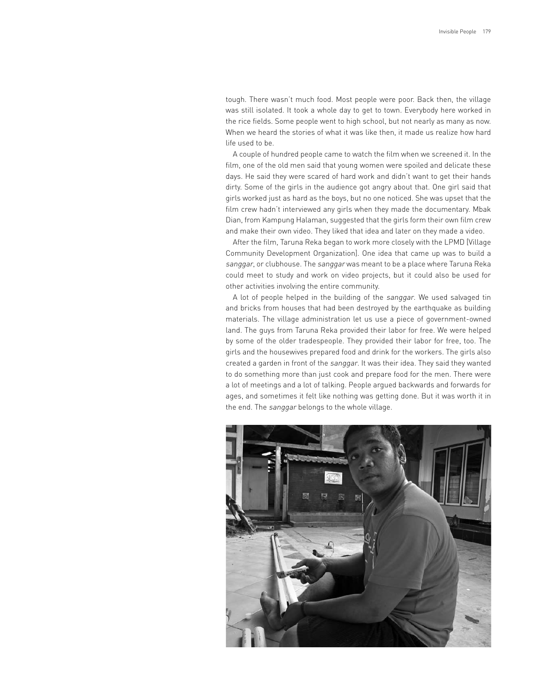tough. There wasn't much food. Most people were poor. Back then, the village was still isolated. It took a whole day to get to town. Everybody here worked in the rice fields. Some people went to high school, but not nearly as many as now. When we heard the stories of what it was like then, it made us realize how hard life used to be.

A couple of hundred people came to watch the film when we screened it. In the film, one of the old men said that young women were spoiled and delicate these days. He said they were scared of hard work and didn't want to get their hands dirty. Some of the girls in the audience got angry about that. One girl said that girls worked just as hard as the boys, but no one noticed. She was upset that the film crew hadn't interviewed any girls when they made the documentary. Mbak Dian, from Kampung Halaman, suggested that the girls form their own film crew and make their own video. They liked that idea and later on they made a video.

After the film, Taruna Reka began to work more closely with the LPMD [Village Community Development Organization]. One idea that came up was to build a sanggar, or clubhouse. The sanggar was meant to be a place where Taruna Reka could meet to study and work on video projects, but it could also be used for other activities involving the entire community.

A lot of people helped in the building of the sanggar. We used salvaged tin and bricks from houses that had been destroyed by the earthquake as building materials. The village administration let us use a piece of government-owned land. The guys from Taruna Reka provided their labor for free. We were helped by some of the older tradespeople. They provided their labor for free, too. The girls and the housewives prepared food and drink for the workers. The girls also created a garden in front of the sanggar. It was their idea. They said they wanted to do something more than just cook and prepare food for the men. There were a lot of meetings and a lot of talking. People argued backwards and forwards for ages, and sometimes it felt like nothing was getting done. But it was worth it in the end. The sanggar belongs to the whole village.

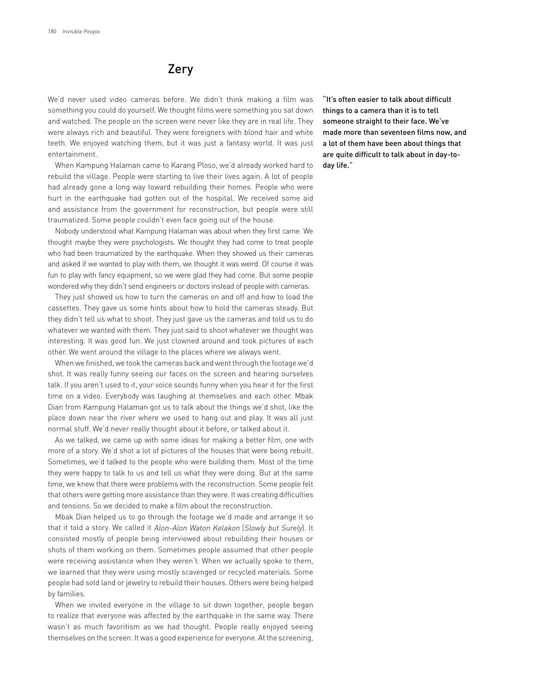### Zery

We'd never used video cameras before. We didn't think making a film was something you could do yourself. We thought films were something you sat down and watched. The people on the screen were never like they are in real life. They were always rich and beautiful. They were foreigners with blond hair and white teeth. We enjoyed watching them, but it was just a fantasy world. It was just entertainment.

When Kampung Halaman came to Karang Ploso, we'd already worked hard to rebuild the village. People were starting to live their lives again. A lot of people had already gone a long way toward rebuilding their homes. People who were hurt in the earthquake had gotten out of the hospital. We received some aid and assistance from the government for reconstruction, but people were still traumatized. Some people couldn't even face going out of the house.

Nobody understood what Kampung Halaman was about when they first came. We thought maybe they were psychologists. We thought they had come to treat people who had been traumatized by the earthquake. When they showed us their cameras and asked if we wanted to play with them, we thought it was weird. Of course it was fun to play with fancy equipment, so we were glad they had come. But some people wondered why they didn't send engineers or doctors instead of people with cameras.

They just showed us how to turn the cameras on and off and how to load the cassettes. They gave us some hints about how to hold the cameras steady. But they didn't tell us what to shoot. They just gave us the cameras and told us to do whatever we wanted with them. They just said to shoot whatever we thought was interesting. It was good fun. We just clowned around and took pictures of each other. We went around the village to the places where we always went.

When we finished, we took the cameras back and went through the footage we'd shot. It was really funny seeing our faces on the screen and hearing ourselves talk. If you aren't used to it, your voice sounds funny when you hear it for the first time on a video. Everybody was laughing at themselves and each other. Mbak Dian from Kampung Halaman got us to talk about the things we'd shot, like the place down near the river where we used to hang out and play. It was all just normal stuff. We'd never really thought about it before, or talked about it.

As we talked, we came up with some ideas for making a better film, one with more of a story. We'd shot a lot of pictures of the houses that were being rebuilt. Sometimes, we'd talked to the people who were building them. Most of the time they were happy to talk to us and tell us what they were doing. But at the same time, we knew that there were problems with the reconstruction. Some people felt that others were getting more assistance than they were. It was creating difficulties and tensions. So we decided to make a film about the reconstruction.

Mbak Dian helped us to go through the footage we'd made and arrange it so that it told a story. We called it Alon-Alon Waton Kelakon (Slowly but Surely). It consisted mostly of people being interviewed about rebuilding their houses or shots of them working on them. Sometimes people assumed that other people were receiving assistance when they weren't. When we actually spoke to them, we learned that they were using mostly scavenged or recycled materials. Some people had sold land or jewelry to rebuild their houses. Others were being helped by families.

When we invited everyone in the village to sit down together, people began to realize that everyone was affected by the earthquake in the same way. There wasn't as much favoritism as we had thought. People really enjoyed seeing themselves on the screen. It was a good experience for everyone. At the screening,

"It's often easier to talk about difficult things to a camera than it is to tell someone straight to their face. We've made more than seventeen films now, and a lot of them have been about things that are quite difficult to talk about in day-today life."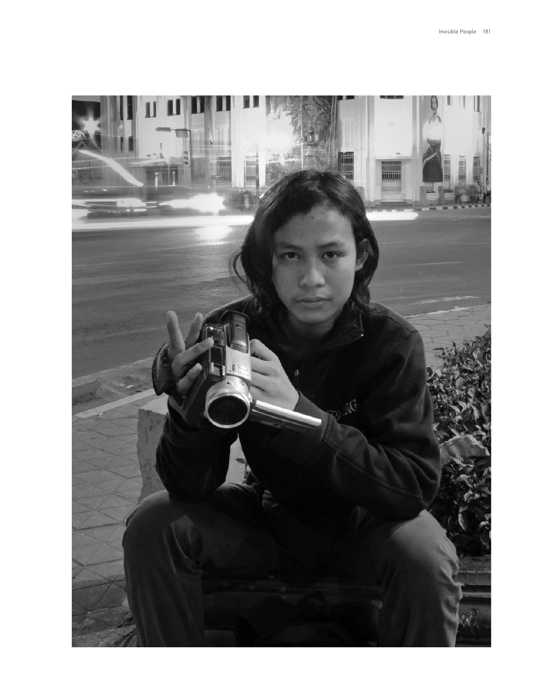

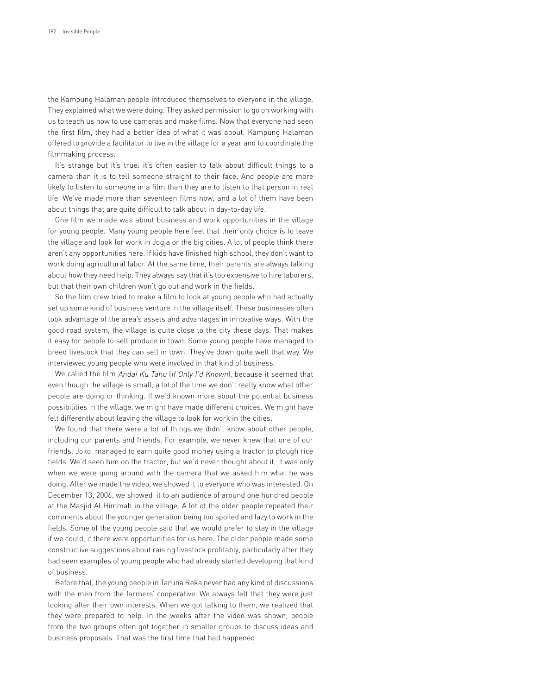the Kampung Halaman people introduced themselves to everyone in the village. They explained what we were doing. They asked permission to go on working with us to teach us how to use cameras and make films. Now that everyone had seen the first film, they had a better idea of what it was about. Kampung Halaman offered to provide a facilitator to live in the village for a year and to coordinate the filmmaking process.

It's strange but it's true: it's often easier to talk about difficult things to a camera than it is to tell someone straight to their face. And people are more likely to listen to someone in a film than they are to listen to that person in real life. We've made more than seventeen films now, and a lot of them have been about things that are quite difficult to talk about in day-to-day life.

One film we made was about business and work opportunities in the village for young people. Many young people here feel that their only choice is to leave the village and look for work in Jogja or the big cities. A lot of people think there aren't any opportunities here. If kids have finished high school, they don't want to work doing agricultural labor. At the same time, their parents are always talking about how they need help. They always say that it's too expensive to hire laborers, but that their own children won't go out and work in the fields.

So the film crew tried to make a film to look at young people who had actually set up some kind of business venture in the village itself. These businesses often took advantage of the area's assets and advantages in innovative ways. With the good road system, the village is quite close to the city these days. That makes it easy for people to sell produce in town. Some young people have managed to breed livestock that they can sell in town. They've down quite well that way. We interviewed young people who were involved in that kind of business.

We called the film Andai Ku Tahu (If Only I'd Known), because it seemed that even though the village is small, a lot of the time we don't really know what other people are doing or thinking. If we'd known more about the potential business possibilities in the village, we might have made different choices. We might have felt differently about leaving the village to look for work in the cities.

We found that there were a lot of things we didn't know about other people, including our parents and friends. For example, we never knew that one of our friends, Joko, managed to earn quite good money using a tractor to plough rice fields. We'd seen him on the tractor, but we'd never thought about it. It was only when we were going around with the camera that we asked him what he was doing. After we made the video, we showed it to everyone who was interested. On December 13, 2006, we showed it to an audience of around one hundred people at the Masjid Al Himmah in the village. A lot of the older people repeated their comments about the younger generation being too spoiled and lazy to work in the fields. Some of the young people said that we would prefer to stay in the village if we could, if there were opportunities for us here. The older people made some constructive suggestions about raising livestock profitably, particularly after they had seen examples of young people who had already started developing that kind of business.

Before that, the young people in Taruna Reka never had any kind of discussions with the men from the farmers' cooperative. We always felt that they were just looking after their own interests. When we got talking to them, we realized that they were prepared to help. In the weeks after the video was shown, people from the two groups often got together in smaller groups to discuss ideas and business proposals. That was the first time that had happened.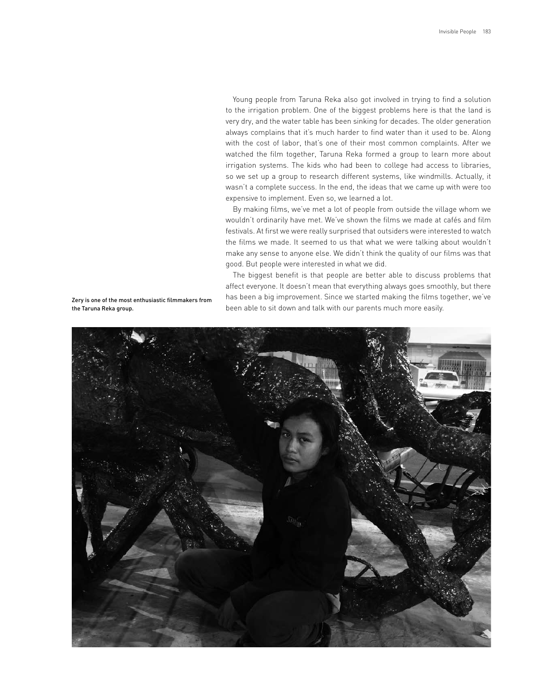Young people from Taruna Reka also got involved in trying to find a solution to the irrigation problem. One of the biggest problems here is that the land is very dry, and the water table has been sinking for decades. The older generation always complains that it's much harder to find water than it used to be. Along with the cost of labor, that's one of their most common complaints. After we watched the film together, Taruna Reka formed a group to learn more about irrigation systems. The kids who had been to college had access to libraries, so we set up a group to research different systems, like windmills. Actually, it wasn't a complete success. In the end, the ideas that we came up with were too expensive to implement. Even so, we learned a lot.

By making films, we've met a lot of people from outside the village whom we wouldn't ordinarily have met. We've shown the films we made at cafés and film festivals. At first we were really surprised that outsiders were interested to watch the films we made. It seemed to us that what we were talking about wouldn't make any sense to anyone else. We didn't think the quality of our films was that good. But people were interested in what we did.

The biggest benefit is that people are better able to discuss problems that affect everyone. It doesn't mean that everything always goes smoothly, but there has been a big improvement. Since we started making the films together, we've been able to sit down and talk with our parents much more easily.



Zery is one of the most enthusiastic filmmakers from the Taruna Reka group.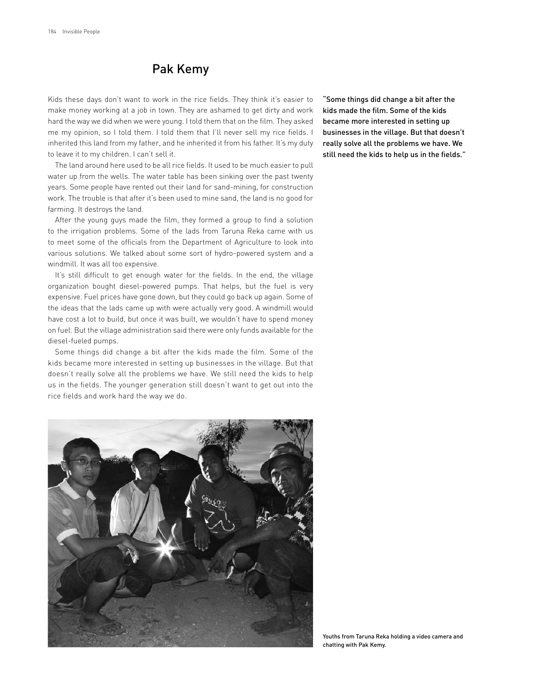### Pak Kemy

Kids these days don't want to work in the rice fields. They think it's easier to make money working at a job in town. They are ashamed to get dirty and work hard the way we did when we were young. I told them that on the film. They asked me my opinion, so I told them. I told them that I'll never sell my rice fields. I inherited this land from my father, and he inherited it from his father. It's my duty to leave it to my children. I can't sell it.

The land around here used to be all rice fields. It used to be much easier to pull water up from the wells. The water table has been sinking over the past twenty years. Some people have rented out their land for sand-mining, for construction work. The trouble is that after it's been used to mine sand, the land is no good for farming. It destroys the land.

After the young guys made the film, they formed a group to find a solution to the irrigation problems. Some of the lads from Taruna Reka came with us to meet some of the officials from the Department of Agriculture to look into various solutions. We talked about some sort of hydro-powered system and a windmill. It was all too expensive.

It's still difficult to get enough water for the fields. In the end, the village organization bought diesel-powered pumps. That helps, but the fuel is very expensive. Fuel prices have gone down, but they could go back up again. Some of the ideas that the lads came up with were actually very good. A windmill would have cost a lot to build, but once it was built, we wouldn't have to spend money on fuel. But the village administration said there were only funds available for the diesel-fueled pumps.

Some things did change a bit after the kids made the film. Some of the kids became more interested in setting up businesses in the village. But that doesn't really solve all the problems we have. We still need the kids to help us in the fields. The younger generation still doesn't want to get out into the rice fields and work hard the way we do.



"Some things did change a bit after the kids made the film. Some of the kids became more interested in setting up businesses in the village. But that doesn't really solve all the problems we have. We still need the kids to help us in the fields."

Youths from Taruna Reka holding a video camera and chatting with Pak Kemy.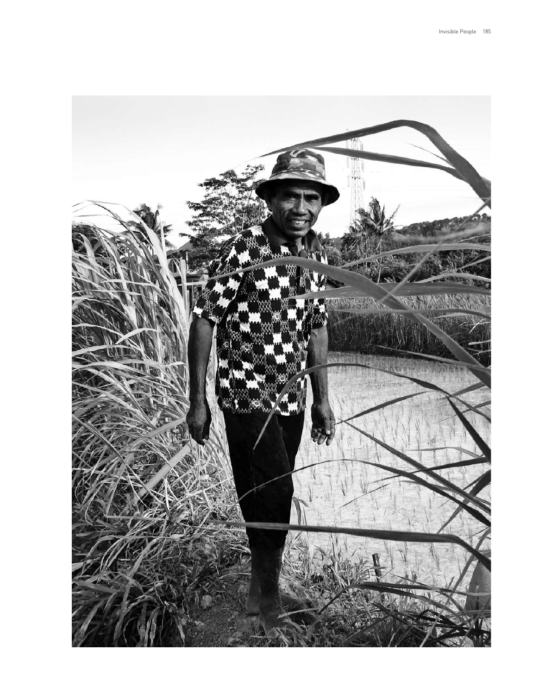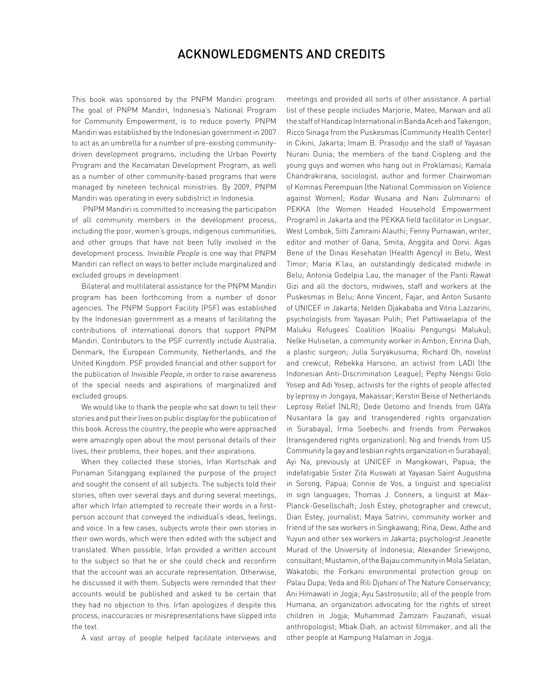### ACKNOWLEDGMENTS AND CREDITS

This book was sponsored by the PNPM Mandiri program. The goal of PNPM Mandiri, Indonesia's National Program for Community Empowerment, is to reduce poverty. PNPM Mandiri was established by the Indonesian government in 2007 to act as an umbrella for a number of pre-existing communitydriven development programs, including the Urban Poverty Program and the Kecamatan Development Program, as well as a number of other community-based programs that were managed by nineteen technical ministries. By 2009, PNPM Mandiri was operating in every subdistrict in Indonesia.

 PNPM Mandiri is committed to increasing the participation of all community members in the development process, including the poor, women's groups, indigenous communities, and other groups that have not been fully involved in the development process. Invisible People is one way that PNPM Mandiri can reflect on ways to better include marginalized and excluded groups in development.

Bilateral and multilateral assistance for the PNPM Mandiri program has been forthcoming from a number of donor agencies. The PNPM Support Facility (PSF) was established by the Indonesian government as a means of facilitating the contributions of international donors that support PNPM Mandiri. Contributors to the PSF currently include Australia, Denmark, the European Community, Netherlands, and the United Kingdom. PSF provided financial and other support for the publication of Invisible People, in order to raise awareness of the special needs and aspirations of marginalized and excluded groups.

We would like to thank the people who sat down to tell their stories and put their lives on public display for the publication of this book. Across the country, the people who were approached were amazingly open about the most personal details of their lives, their problems, their hopes, and their aspirations.

When they collected these stories, Irfan Kortschak and Poriaman Sitanggang explained the purpose of the project and sought the consent of all subjects. The subjects told their stories, often over several days and during several meetings, after which Irfan attempted to recreate their words in a firstperson account that conveyed the individual's ideas, feelings, and voice. In a few cases, subjects wrote their own stories in their own words, which were then edited with the subject and translated. When possible, Irfan provided a written account to the subject so that he or she could check and reconfirm that the account was an accurate representation. Otherwise, he discussed it with them. Subjects were reminded that their accounts would be published and asked to be certain that they had no objection to this. Irfan apologizes if despite this process, inaccuracies or misrepresentations have slipped into the text.

A vast array of people helped facilitate interviews and

meetings and provided all sorts of other assistance. A partial list of these people includes Marjorie, Mateo, Marwan and all the staff of Handicap International in Banda Aceh and Takengon; Ricco Sinaga from the Puskesmas (Community Health Center) in Cikini, Jakarta; Imam B. Prasodjo and the staff of Yayasan Nurani Dunia; the members of the band Cispleng and the young guys and women who hang out in Proklamasi; Kamala Chandrakirana, sociologist, author and former Chairwoman of Komnas Perempuan (the National Commission on Violence against Women); Kodar Wusana and Nani Zulminarni of PEKKA (the Women Headed Household Empowerment Program) in Jakarta and the PEKKA field facilitator in Lingsar, West Lombok, Sitti Zamraini Alauthi; Fenny Purnawan, writer, editor and mother of Gana, Smita, Anggita and Oorvi. Agas Bene of the Dinas Kesehatan (Health Agency) in Belu, West Timor; Maria K'lau, an outstandingly dedicated midwife in Belu; Antonia Godelpia Lau, the manager of the Panti Rawat Gizi and all the doctors, midwives, staff and workers at the Puskesmas in Belu; Anne Vincent, Fajar, and Anton Susanto of UNICEF in Jakarta; Nelden Djakababa and Vitria Lazzarini, psychologists from Yayasan Pulih; Piet Pattiwaelapia of the Maluku Refugees' Coalition (Koalisi Pengungsi Maluku); Nelke Huliselan, a community worker in Ambon; Enrina Diah, a plastic surgeon; Julia Suryakusuma; Richard Oh, novelist and crewcut; Rebekka Harsono, an activist from LADI (the Indonesian Anti-Discrimination League); Pephy Nengsi Golo Yosep and Adi Yosep, activists for the rights of people affected by leprosy in Jongaya, Makassar; Kerstin Beise of Netherlands Leprosy Relief (NLR); Dede Oetomo and friends from GAYa Nusantara (a gay and transgendered rights organization in Surabaya); Irma Soebechi and friends from Perwakos (transgendered rights organization); Nig and friends from US Community (a gay and lesbian rights organization in Surabaya); Ayi Na, previously at UNICEF in Mangkowari, Papua; the indefatigable Sister Zita Kuswati at Yayasan Saint Augustina in Sorong, Papua; Connie de Vos, a linguist and specialist in sign languages; Thomas J. Conners, a linguist at Max-Planck-Gesellschaft; Josh Estey, photographer and crewcut; Dian Estey, journalist; Maya Satrini, community worker and friend of the sex workers in Singkawang; Rina, Dewi, Adhe and Yuyun and other sex workers in Jakarta; psychologist Jeanette Murad of the University of Indonesia; Alexander Sriewijono, consultant; Mustamin, of the Bajau community in Mola Selatan, Wakatobi; the Forkani environmental protection group on Palau Dupa; Veda and Rili Djohani of The Nature Conservancy; Ani Himawati in Jogja; Ayu Sastrosusilo; all of the people from Humana, an organization advocating for the rights of street children in Jogja; Muhammad Zamzam Fauzanafi, visual anthropologist; Mbak Diah, an activist filmmaker, and all the other people at Kampung Halaman in Jogja.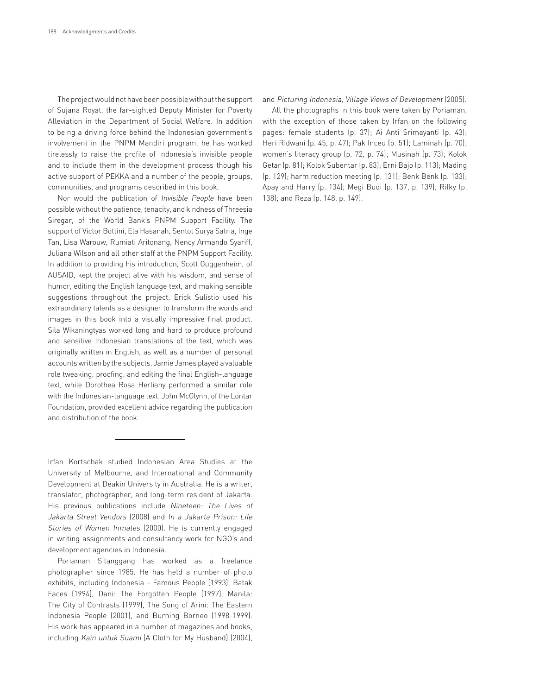The project would not have been possible without the support of Sujana Royat, the far-sighted Deputy Minister for Poverty Alleviation in the Department of Social Welfare. In addition to being a driving force behind the Indonesian government's involvement in the PNPM Mandiri program, he has worked tirelessly to raise the profile of Indonesia's invisible people and to include them in the development process though his active support of PEKKA and a number of the people, groups, communities, and programs described in this book.

Nor would the publication of Invisible People have been possible without the patience, tenacity, and kindness of Threesia Siregar, of the World Bank's PNPM Support Facility. The support of Victor Bottini, Ela Hasanah, Sentot Surya Satria, Inge Tan, Lisa Warouw, Rumiati Aritonang, Nency Armando Syariff, Juliana Wilson and all other staff at the PNPM Support Facility. In addition to providing his introduction, Scott Guggenheim, of AUSAID, kept the project alive with his wisdom, and sense of humor, editing the English language text, and making sensible suggestions throughout the project. Erick Sulistio used his extraordinary talents as a designer to transform the words and images in this book into a visually impressive final product. Sila Wikaningtyas worked long and hard to produce profound and sensitive Indonesian translations of the text, which was originally written in English, as well as a number of personal accounts written by the subjects. Jamie James played a valuable role tweaking, proofing, and editing the final English-language text, while Dorothea Rosa Herliany performed a similar role with the Indonesian-language text. John McGlynn, of the Lontar Foundation, provided excellent advice regarding the publication and distribution of the book.

Poriaman Sitanggang has worked as a freelance photographer since 1985. He has held a number of photo exhibits, including Indonesia - Famous People (1993), Batak Faces (1994), Dani: The Forgotten People (1997), Manila: The City of Contrasts (1999), The Song of Arini: The Eastern Indonesia People (2001), and Burning Borneo (1998-1999). His work has appeared in a number of magazines and books, including Kain untuk Suami (A Cloth for My Husband) (2004), and Picturing Indonesia, Village Views of Development (2005).

All the photographs in this book were taken by Poriaman, with the exception of those taken by Irfan on the following pages: female students (p. 37); Ai Anti Srimayanti (p. 43); Heri Ridwani (p. 45, p. 47); Pak Inceu (p. 51); Laminah (p. 70); women's literacy group (p. 72, p. 74); Musinah (p. 73); Kolok Getar (p. 81); Kolok Subentar (p. 83); Erni Bajo (p. 113); Mading (p. 129); harm reduction meeting (p. 131); Benk Benk (p. 133); Apay and Harry (p. 134); Megi Budi (p. 137, p. 139); Rifky (p. 138); and Reza (p. 148, p. 149).

Irfan Kortschak studied Indonesian Area Studies at the University of Melbourne, and International and Community Development at Deakin University in Australia. He is a writer, translator, photographer, and long-term resident of Jakarta. His previous publications include Nineteen: The Lives of Jakarta Street Vendors (2008) and In a Jakarta Prison: Life Stories of Women Inmates (2000). He is currently engaged in writing assignments and consultancy work for NGO's and development agencies in Indonesia.